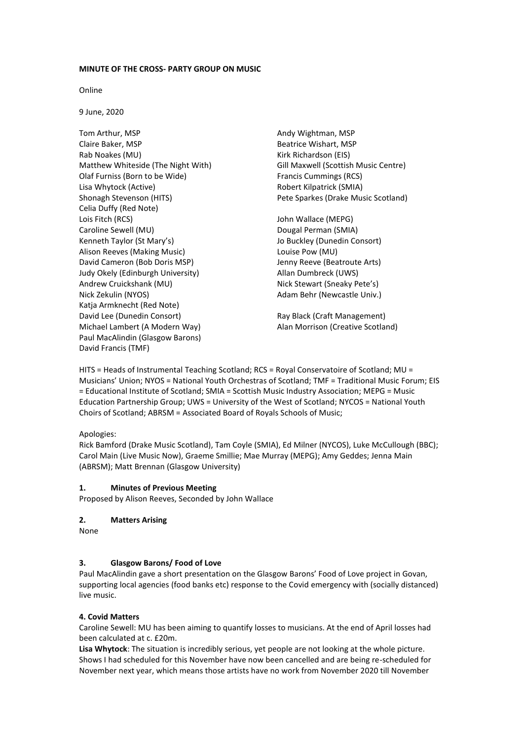### **MINUTE OF THE CROSS- PARTY GROUP ON MUSIC**

Online

9 June, 2020

Tom Arthur, MSP Claire Baker, MSP Rab Noakes (MU) Matthew Whiteside (The Night With) Olaf Furniss (Born to be Wide) Lisa Whytock (Active) Shonagh Stevenson (HITS) Celia Duffy (Red Note) Lois Fitch (RCS) Caroline Sewell (MU) Kenneth Taylor (St Mary's) Alison Reeves (Making Music) David Cameron (Bob Doris MSP) Judy Okely (Edinburgh University) Andrew Cruickshank (MU) Nick Zekulin (NYOS) Katja Armknecht (Red Note) David Lee (Dunedin Consort) The Ray Black (Craft Management) Michael Lambert (A Modern Way) Alan Morrison (Creative Scotland) Paul MacAlindin (Glasgow Barons) David Francis (TMF)

Andy Wightman, MSP Beatrice Wishart, MSP Kirk Richardson (EIS) Gill Maxwell (Scottish Music Centre) Francis Cummings (RCS) Robert Kilpatrick (SMIA) Pete Sparkes (Drake Music Scotland)

John Wallace (MEPG) Dougal Perman (SMIA) Jo Buckley (Dunedin Consort) Louise Pow (MU) Jenny Reeve (Beatroute Arts) Allan Dumbreck (UWS) Nick Stewart (Sneaky Pete's) Adam Behr (Newcastle Univ.)

HITS = Heads of Instrumental Teaching Scotland; RCS = Royal Conservatoire of Scotland; MU = Musicians' Union; NYOS = National Youth Orchestras of Scotland; TMF = Traditional Music Forum; EIS = Educational Institute of Scotland; SMIA = Scottish Music Industry Association; MEPG = Music Education Partnership Group; UWS = University of the West of Scotland; NYCOS = National Youth Choirs of Scotland; ABRSM = Associated Board of Royals Schools of Music;

## Apologies:

Rick Bamford (Drake Music Scotland), Tam Coyle (SMIA), Ed Milner (NYCOS), Luke McCullough (BBC); Carol Main (Live Music Now), Graeme Smillie; Mae Murray (MEPG); Amy Geddes; Jenna Main (ABRSM); Matt Brennan (Glasgow University)

## **1. Minutes of Previous Meeting**

Proposed by Alison Reeves, Seconded by John Wallace

## **2. Matters Arising**

None

# **3. Glasgow Barons/ Food of Love**

Paul MacAlindin gave a short presentation on the Glasgow Barons' Food of Love project in Govan, supporting local agencies (food banks etc) response to the Covid emergency with (socially distanced) live music.

## **4. Covid Matters**

Caroline Sewell: MU has been aiming to quantify losses to musicians. At the end of April losses had been calculated at c. £20m.

**Lisa Whytock**: The situation is incredibly serious, yet people are not looking at the whole picture. Shows I had scheduled for this November have now been cancelled and are being re-scheduled for November next year, which means those artists have no work from November 2020 till November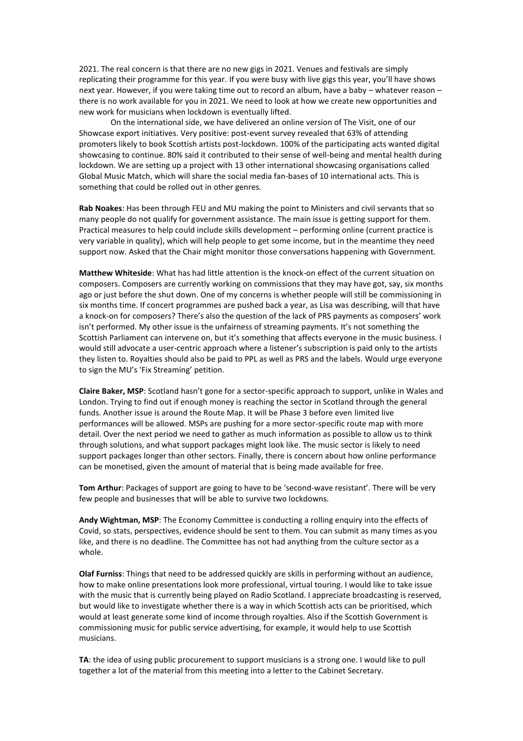2021. The real concern is that there are no new gigs in 2021. Venues and festivals are simply replicating their programme for this year. If you were busy with live gigs this year, you'll have shows next year. However, if you were taking time out to record an album, have a baby – whatever reason – there is no work available for you in 2021. We need to look at how we create new opportunities and new work for musicians when lockdown is eventually lifted.

On the international side, we have delivered an online version of The Visit, one of our Showcase export initiatives. Very positive: post-event survey revealed that 63% of attending promoters likely to book Scottish artists post-lockdown. 100% of the participating acts wanted digital showcasing to continue. 80% said it contributed to their sense of well-being and mental health during lockdown. We are setting up a project with 13 other international showcasing organisations called Global Music Match, which will share the social media fan-bases of 10 international acts. This is something that could be rolled out in other genres.

**Rab Noakes**: Has been through FEU and MU making the point to Ministers and civil servants that so many people do not qualify for government assistance. The main issue is getting support for them. Practical measures to help could include skills development – performing online (current practice is very variable in quality), which will help people to get some income, but in the meantime they need support now. Asked that the Chair might monitor those conversations happening with Government.

**Matthew Whiteside**: What has had little attention is the knock-on effect of the current situation on composers. Composers are currently working on commissions that they may have got, say, six months ago or just before the shut down. One of my concerns is whether people will still be commissioning in six months time. If concert programmes are pushed back a year, as Lisa was describing, will that have a knock-on for composers? There's also the question of the lack of PRS payments as composers' work isn't performed. My other issue is the unfairness of streaming payments. It's not something the Scottish Parliament can intervene on, but it's something that affects everyone in the music business. I would still advocate a user-centric approach where a listener's subscription is paid only to the artists they listen to. Royalties should also be paid to PPL as well as PRS and the labels. Would urge everyone to sign the MU's 'Fix Streaming' petition.

**Claire Baker, MSP**: Scotland hasn't gone for a sector-specific approach to support, unlike in Wales and London. Trying to find out if enough money is reaching the sector in Scotland through the general funds. Another issue is around the Route Map. It will be Phase 3 before even limited live performances will be allowed. MSPs are pushing for a more sector-specific route map with more detail. Over the next period we need to gather as much information as possible to allow us to think through solutions, and what support packages might look like. The music sector is likely to need support packages longer than other sectors. Finally, there is concern about how online performance can be monetised, given the amount of material that is being made available for free.

**Tom Arthur**: Packages of support are going to have to be 'second-wave resistant'. There will be very few people and businesses that will be able to survive two lockdowns.

**Andy Wightman, MSP**: The Economy Committee is conducting a rolling enquiry into the effects of Covid, so stats, perspectives, evidence should be sent to them. You can submit as many times as you like, and there is no deadline. The Committee has not had anything from the culture sector as a whole.

**Olaf Furniss**: Things that need to be addressed quickly are skills in performing without an audience, how to make online presentations look more professional, virtual touring. I would like to take issue with the music that is currently being played on Radio Scotland. I appreciate broadcasting is reserved, but would like to investigate whether there is a way in which Scottish acts can be prioritised, which would at least generate some kind of income through royalties. Also if the Scottish Government is commissioning music for public service advertising, for example, it would help to use Scottish musicians.

**TA**: the idea of using public procurement to support musicians is a strong one. I would like to pull together a lot of the material from this meeting into a letter to the Cabinet Secretary.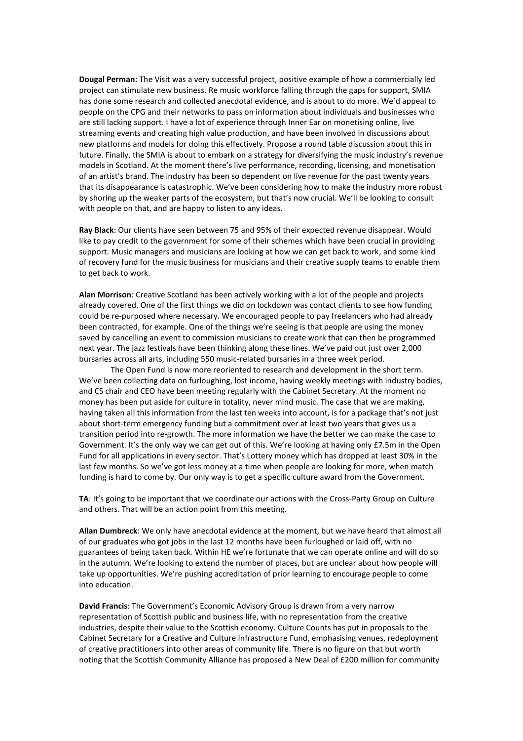**Dougal Perman**: The Visit was a very successful project, positive example of how a commercially led project can stimulate new business. Re music workforce falling through the gaps for support, SMIA has done some research and collected anecdotal evidence, and is about to do more. We'd appeal to people on the CPG and their networks to pass on information about individuals and businesses who are still lacking support. I have a lot of experience through Inner Ear on monetising online, live streaming events and creating high value production, and have been involved in discussions about new platforms and models for doing this effectively. Propose a round table discussion about this in future. Finally, the SMIA is about to embark on a strategy for diversifying the music industry's revenue models in Scotland. At the moment there's live performance, recording, licensing, and monetisation of an artist's brand. The industry has been so dependent on live revenue for the past twenty years that its disappearance is catastrophic. We've been considering how to make the industry more robust by shoring up the weaker parts of the ecosystem, but that's now crucial. We'll be looking to consult with people on that, and are happy to listen to any ideas.

**Ray Black**: Our clients have seen between 75 and 95% of their expected revenue disappear. Would like to pay credit to the government for some of their schemes which have been crucial in providing support. Music managers and musicians are looking at how we can get back to work, and some kind of recovery fund for the music business for musicians and their creative supply teams to enable them to get back to work.

**Alan Morrison**: Creative Scotland has been actively working with a lot of the people and projects already covered. One of the first things we did on lockdown was contact clients to see how funding could be re-purposed where necessary. We encouraged people to pay freelancers who had already been contracted, for example. One of the things we're seeing is that people are using the money saved by cancelling an event to commission musicians to create work that can then be programmed next year. The jazz festivals have been thinking along these lines. We've paid out just over 2,000 bursaries across all arts, including 550 music-related bursaries in a three week period.

The Open Fund is now more reoriented to research and development in the short term. We've been collecting data on furloughing, lost income, having weekly meetings with industry bodies, and CS chair and CEO have been meeting regularly with the Cabinet Secretary. At the moment no money has been put aside for culture in totality, never mind music. The case that we are making, having taken all this information from the last ten weeks into account, is for a package that's not just about short-term emergency funding but a commitment over at least two years that gives us a transition period into re-growth. The more information we have the better we can make the case to Government. It's the only way we can get out of this. We're looking at having only £7.5m in the Open Fund for all applications in every sector. That's Lottery money which has dropped at least 30% in the last few months. So we've got less money at a time when people are looking for more, when match funding is hard to come by. Our only way is to get a specific culture award from the Government.

**TA**: It's going to be important that we coordinate our actions with the Cross-Party Group on Culture and others. That will be an action point from this meeting.

**Allan Dumbreck**: We only have anecdotal evidence at the moment, but we have heard that almost all of our graduates who got jobs in the last 12 months have been furloughed or laid off, with no guarantees of being taken back. Within HE we're fortunate that we can operate online and will do so in the autumn. We're looking to extend the number of places, but are unclear about how people will take up opportunities. We're pushing accreditation of prior learning to encourage people to come into education.

**David Francis**: The Government's Economic Advisory Group is drawn from a very narrow representation of Scottish public and business life, with no representation from the creative industries, despite their value to the Scottish economy. Culture Counts has put in proposals to the Cabinet Secretary for a Creative and Culture Infrastructure Fund, emphasising venues, redeployment of creative practitioners into other areas of community life. There is no figure on that but worth noting that the Scottish Community Alliance has proposed a New Deal of £200 million for community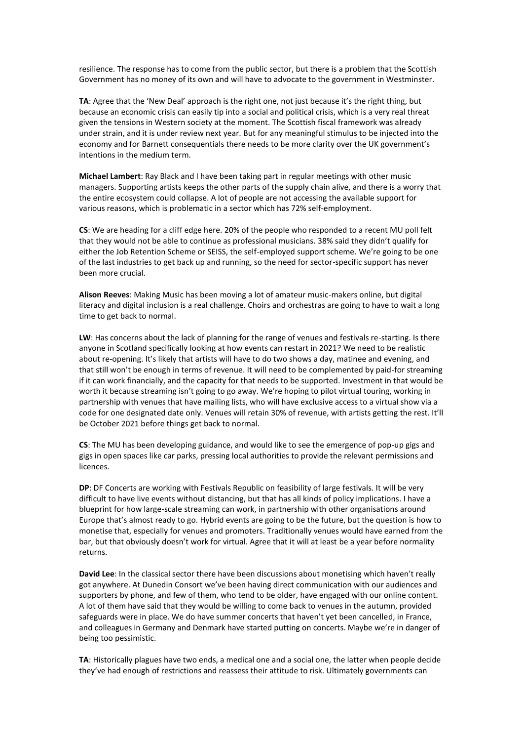resilience. The response has to come from the public sector, but there is a problem that the Scottish Government has no money of its own and will have to advocate to the government in Westminster.

**TA**: Agree that the 'New Deal' approach is the right one, not just because it's the right thing, but because an economic crisis can easily tip into a social and political crisis, which is a very real threat given the tensions in Western society at the moment. The Scottish fiscal framework was already under strain, and it is under review next year. But for any meaningful stimulus to be injected into the economy and for Barnett consequentials there needs to be more clarity over the UK government's intentions in the medium term.

**Michael Lambert**: Ray Black and I have been taking part in regular meetings with other music managers. Supporting artists keeps the other parts of the supply chain alive, and there is a worry that the entire ecosystem could collapse. A lot of people are not accessing the available support for various reasons, which is problematic in a sector which has 72% self-employment.

**CS**: We are heading for a cliff edge here. 20% of the people who responded to a recent MU poll felt that they would not be able to continue as professional musicians. 38% said they didn't qualify for either the Job Retention Scheme or SEISS, the self-employed support scheme. We're going to be one of the last industries to get back up and running, so the need for sector-specific support has never been more crucial.

**Alison Reeves**: Making Music has been moving a lot of amateur music-makers online, but digital literacy and digital inclusion is a real challenge. Choirs and orchestras are going to have to wait a long time to get back to normal.

**LW**: Has concerns about the lack of planning for the range of venues and festivals re-starting. Is there anyone in Scotland specifically looking at how events can restart in 2021? We need to be realistic about re-opening. It's likely that artists will have to do two shows a day, matinee and evening, and that still won't be enough in terms of revenue. It will need to be complemented by paid-for streaming if it can work financially, and the capacity for that needs to be supported. Investment in that would be worth it because streaming isn't going to go away. We're hoping to pilot virtual touring, working in partnership with venues that have mailing lists, who will have exclusive access to a virtual show via a code for one designated date only. Venues will retain 30% of revenue, with artists getting the rest. It'll be October 2021 before things get back to normal.

**CS**: The MU has been developing guidance, and would like to see the emergence of pop-up gigs and gigs in open spaces like car parks, pressing local authorities to provide the relevant permissions and licences.

**DP**: DF Concerts are working with Festivals Republic on feasibility of large festivals. It will be very difficult to have live events without distancing, but that has all kinds of policy implications. I have a blueprint for how large-scale streaming can work, in partnership with other organisations around Europe that's almost ready to go. Hybrid events are going to be the future, but the question is how to monetise that, especially for venues and promoters. Traditionally venues would have earned from the bar, but that obviously doesn't work for virtual. Agree that it will at least be a year before normality returns.

**David Lee**: In the classical sector there have been discussions about monetising which haven't really got anywhere. At Dunedin Consort we've been having direct communication with our audiences and supporters by phone, and few of them, who tend to be older, have engaged with our online content. A lot of them have said that they would be willing to come back to venues in the autumn, provided safeguards were in place. We do have summer concerts that haven't yet been cancelled, in France, and colleagues in Germany and Denmark have started putting on concerts. Maybe we're in danger of being too pessimistic.

**TA**: Historically plagues have two ends, a medical one and a social one, the latter when people decide they've had enough of restrictions and reassess their attitude to risk. Ultimately governments can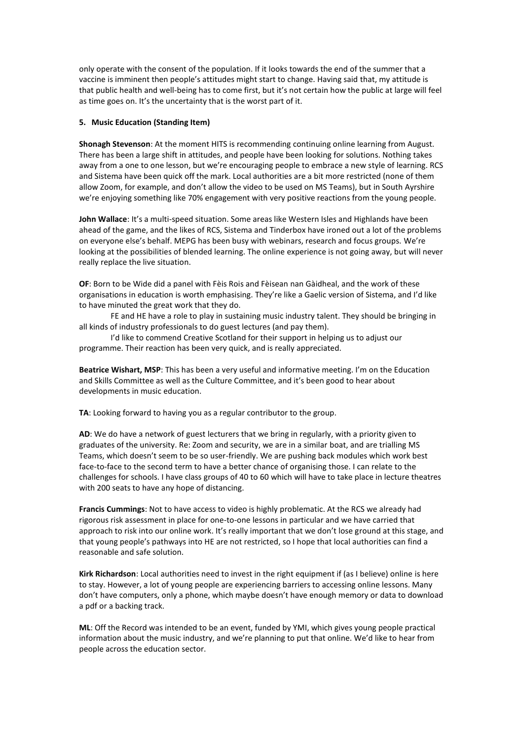only operate with the consent of the population. If it looks towards the end of the summer that a vaccine is imminent then people's attitudes might start to change. Having said that, my attitude is that public health and well-being has to come first, but it's not certain how the public at large will feel as time goes on. It's the uncertainty that is the worst part of it.

### **5. Music Education (Standing Item)**

**Shonagh Stevenson**: At the moment HITS is recommending continuing online learning from August. There has been a large shift in attitudes, and people have been looking for solutions. Nothing takes away from a one to one lesson, but we're encouraging people to embrace a new style of learning. RCS and Sistema have been quick off the mark. Local authorities are a bit more restricted (none of them allow Zoom, for example, and don't allow the video to be used on MS Teams), but in South Ayrshire we're enjoying something like 70% engagement with very positive reactions from the young people.

**John Wallace**: It's a multi-speed situation. Some areas like Western Isles and Highlands have been ahead of the game, and the likes of RCS, Sistema and Tinderbox have ironed out a lot of the problems on everyone else's behalf. MEPG has been busy with webinars, research and focus groups. We're looking at the possibilities of blended learning. The online experience is not going away, but will never really replace the live situation.

**OF**: Born to be Wide did a panel with Fèis Rois and Fèisean nan Gàidheal, and the work of these organisations in education is worth emphasising. They're like a Gaelic version of Sistema, and I'd like to have minuted the great work that they do.

FE and HE have a role to play in sustaining music industry talent. They should be bringing in all kinds of industry professionals to do guest lectures (and pay them).

I'd like to commend Creative Scotland for their support in helping us to adjust our programme. Their reaction has been very quick, and is really appreciated.

**Beatrice Wishart, MSP**: This has been a very useful and informative meeting. I'm on the Education and Skills Committee as well as the Culture Committee, and it's been good to hear about developments in music education.

**TA**: Looking forward to having you as a regular contributor to the group.

**AD**: We do have a network of guest lecturers that we bring in regularly, with a priority given to graduates of the university. Re: Zoom and security, we are in a similar boat, and are trialling MS Teams, which doesn't seem to be so user-friendly. We are pushing back modules which work best face-to-face to the second term to have a better chance of organising those. I can relate to the challenges for schools. I have class groups of 40 to 60 which will have to take place in lecture theatres with 200 seats to have any hope of distancing.

**Francis Cummings**: Not to have access to video is highly problematic. At the RCS we already had rigorous risk assessment in place for one-to-one lessons in particular and we have carried that approach to risk into our online work. It's really important that we don't lose ground at this stage, and that young people's pathways into HE are not restricted, so I hope that local authorities can find a reasonable and safe solution.

**Kirk Richardson**: Local authorities need to invest in the right equipment if (as I believe) online is here to stay. However, a lot of young people are experiencing barriers to accessing online lessons. Many don't have computers, only a phone, which maybe doesn't have enough memory or data to download a pdf or a backing track.

**ML**: Off the Record was intended to be an event, funded by YMI, which gives young people practical information about the music industry, and we're planning to put that online. We'd like to hear from people across the education sector.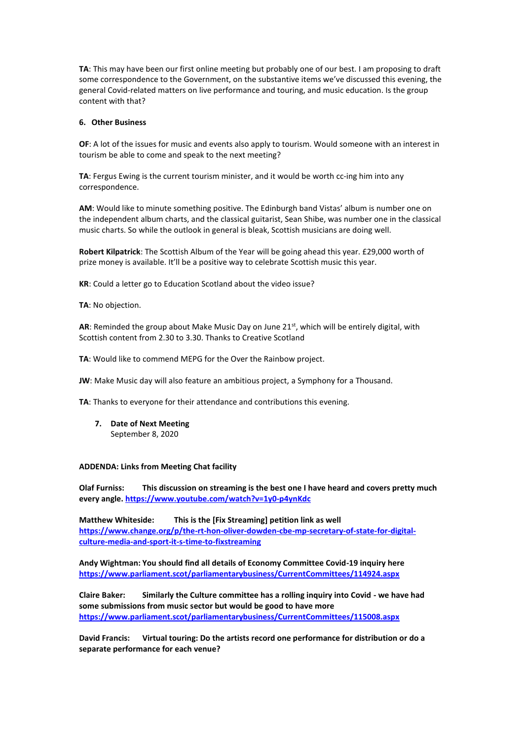**TA**: This may have been our first online meeting but probably one of our best. I am proposing to draft some correspondence to the Government, on the substantive items we've discussed this evening, the general Covid-related matters on live performance and touring, and music education. Is the group content with that?

### **6. Other Business**

**OF**: A lot of the issues for music and events also apply to tourism. Would someone with an interest in tourism be able to come and speak to the next meeting?

**TA**: Fergus Ewing is the current tourism minister, and it would be worth cc-ing him into any correspondence.

**AM**: Would like to minute something positive. The Edinburgh band Vistas' album is number one on the independent album charts, and the classical guitarist, Sean Shibe, was number one in the classical music charts. So while the outlook in general is bleak, Scottish musicians are doing well.

**Robert Kilpatrick**: The Scottish Album of the Year will be going ahead this year. £29,000 worth of prize money is available. It'll be a positive way to celebrate Scottish music this year.

**KR**: Could a letter go to Education Scotland about the video issue?

**TA**: No objection.

**AR:** Reminded the group about Make Music Day on June 21st, which will be entirely digital, with Scottish content from 2.30 to 3.30. Thanks to Creative Scotland

**TA**: Would like to commend MEPG for the Over the Rainbow project.

**JW**: Make Music day will also feature an ambitious project, a Symphony for a Thousand.

**TA**: Thanks to everyone for their attendance and contributions this evening.

**7. Date of Next Meeting** September 8, 2020

#### **ADDENDA: Links from Meeting Chat facility**

**Olaf Furniss: This discussion on streaming is the best one I have heard and covers pretty much every angle.<https://www.youtube.com/watch?v=1y0-p4ynKdc>**

**Matthew Whiteside: This is the [Fix Streaming] petition link as well [https://www.change.org/p/the-rt-hon-oliver-dowden-cbe-mp-secretary-of-state-for-digital](https://www.change.org/p/the-rt-hon-oliver-dowden-cbe-mp-secretary-of-state-for-digital-culture-media-and-sport-it-s-time-to-fixstreaming)[culture-media-and-sport-it-s-time-to-fixstreaming](https://www.change.org/p/the-rt-hon-oliver-dowden-cbe-mp-secretary-of-state-for-digital-culture-media-and-sport-it-s-time-to-fixstreaming)**

**Andy Wightman: You should find all details of Economy Committee Covid-19 inquiry here <https://www.parliament.scot/parliamentarybusiness/CurrentCommittees/114924.aspx>**

**Claire Baker: Similarly the Culture committee has a rolling inquiry into Covid - we have had some submissions from music sector but would be good to have more <https://www.parliament.scot/parliamentarybusiness/CurrentCommittees/115008.aspx>**

**David Francis: Virtual touring: Do the artists record one performance for distribution or do a separate performance for each venue?**